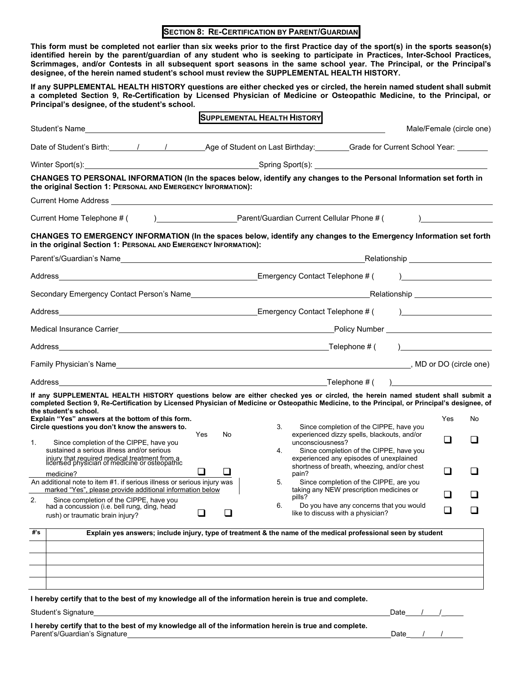## **SECTION 8: RE-CERTIFICATION BY PARENT/GUARDIAN**

**This form must be completed not earlier than six weeks prior to the first Practice day of the sport(s) in the sports season(s) identified herein by the parent/guardian of any student who is seeking to participate in Practices, Inter-School Practices, Scrimmages, and/or Contests in all subsequent sport seasons in the same school year. The Principal, or the Principal's designee, of the herein named student's school must review the SUPPLEMENTAL HEALTH HISTORY.**

**If any SUPPLEMENTAL HEALTH HISTORY questions are either checked yes or circled, the herein named student shall submit a completed Section 9, Re-Certification by Licensed Physician of Medicine or Osteopathic Medicine, to the Principal, or Principal's designee, of the student's school.**

|     |                                                                                                                                                                                                                                                                                                                                                                                                                                                             |                                                                                                      |              | <b>SUPPLEMENTAL HEALTH HISTORY</b> |                  |                                                                                                                                   |              |          |                          |
|-----|-------------------------------------------------------------------------------------------------------------------------------------------------------------------------------------------------------------------------------------------------------------------------------------------------------------------------------------------------------------------------------------------------------------------------------------------------------------|------------------------------------------------------------------------------------------------------|--------------|------------------------------------|------------------|-----------------------------------------------------------------------------------------------------------------------------------|--------------|----------|--------------------------|
|     |                                                                                                                                                                                                                                                                                                                                                                                                                                                             |                                                                                                      |              |                                    |                  |                                                                                                                                   |              |          | Male/Female (circle one) |
|     |                                                                                                                                                                                                                                                                                                                                                                                                                                                             | Date of Student's Birth: 1997 / 1997 Age of Student on Last Birthday: Crade for Current School Year: |              |                                    |                  |                                                                                                                                   |              |          |                          |
|     | Winter Sport(s): <u>Content Content Content Content Content Content Content Content Content Content Content Content Content Content Content Content Content Content Content Content Content Content Content Content Content Cont</u>                                                                                                                                                                                                                        |                                                                                                      |              |                                    |                  |                                                                                                                                   |              |          |                          |
|     | CHANGES TO PERSONAL INFORMATION (In the spaces below, identify any changes to the Personal Information set forth in<br>the original Section 1: PERSONAL AND EMERGENCY INFORMATION):                                                                                                                                                                                                                                                                         |                                                                                                      |              |                                    |                  |                                                                                                                                   |              |          |                          |
|     |                                                                                                                                                                                                                                                                                                                                                                                                                                                             |                                                                                                      |              |                                    |                  |                                                                                                                                   |              |          |                          |
|     |                                                                                                                                                                                                                                                                                                                                                                                                                                                             |                                                                                                      |              |                                    |                  |                                                                                                                                   |              |          |                          |
|     | CHANGES TO EMERGENCY INFORMATION (In the spaces below, identify any changes to the Emergency Information set forth<br>in the original Section 1: PERSONAL AND EMERGENCY INFORMATION):                                                                                                                                                                                                                                                                       |                                                                                                      |              |                                    |                  |                                                                                                                                   |              |          |                          |
|     |                                                                                                                                                                                                                                                                                                                                                                                                                                                             |                                                                                                      |              |                                    |                  |                                                                                                                                   |              |          |                          |
|     |                                                                                                                                                                                                                                                                                                                                                                                                                                                             |                                                                                                      |              |                                    |                  |                                                                                                                                   |              |          |                          |
|     |                                                                                                                                                                                                                                                                                                                                                                                                                                                             |                                                                                                      |              |                                    |                  |                                                                                                                                   |              |          |                          |
|     |                                                                                                                                                                                                                                                                                                                                                                                                                                                             |                                                                                                      |              |                                    |                  |                                                                                                                                   |              |          |                          |
|     |                                                                                                                                                                                                                                                                                                                                                                                                                                                             |                                                                                                      |              |                                    |                  |                                                                                                                                   |              |          |                          |
|     |                                                                                                                                                                                                                                                                                                                                                                                                                                                             |                                                                                                      |              |                                    |                  |                                                                                                                                   |              |          |                          |
|     |                                                                                                                                                                                                                                                                                                                                                                                                                                                             |                                                                                                      |              |                                    |                  |                                                                                                                                   |              |          |                          |
|     |                                                                                                                                                                                                                                                                                                                                                                                                                                                             |                                                                                                      |              |                                    |                  | $\Box$ Telephone # ( )                                                                                                            |              |          |                          |
| 1.  | If any SUPPLEMENTAL HEALTH HISTORY questions below are either checked yes or circled, the herein named student shall submit a<br>completed Section 9, Re-Certification by Licensed Physician of Medicine or Osteopathic Medicine, to the Principal, or Principal's designee, of<br>the student's school.<br>Explain "Yes" answers at the bottom of this form.<br>Circle questions you don't know the answers to.<br>Since completion of the CIPPE, have you | Yes                                                                                                  | No           | 3.                                 | unconsciousness? | Since completion of the CIPPE, have you<br>experienced dizzy spells, blackouts, and/or                                            |              | Yes<br>n | No                       |
|     | sustained a serious illness and/or serious<br>injury that required medical treatment from a<br>licensed physician of medicine or osteopathic<br>medicine?                                                                                                                                                                                                                                                                                                   | ⊔                                                                                                    | $\mathsf{L}$ | 4.                                 | pain?            | Since completion of the CIPPE, have you<br>experienced any episodes of unexplained<br>shortness of breath, wheezing, and/or chest |              | $\Box$   | $\blacksquare$           |
|     | An additional note to item #1. if serious illness or serious injury was<br>marked "Yes", please provide additional information below                                                                                                                                                                                                                                                                                                                        |                                                                                                      |              | 5.                                 | pills?           | Since completion of the CIPPE, are you<br>taking any NEW prescription medicines or                                                |              | $\Box$   |                          |
| 2.  | Since completion of the CIPPE, have you<br>had a concussion (i.e. bell rung, ding, head<br>rush) or traumatic brain injury?                                                                                                                                                                                                                                                                                                                                 |                                                                                                      |              | 6.                                 |                  | Do you have any concerns that you would<br>like to discuss with a physician?                                                      |              |          |                          |
| #'s | Explain yes answers; include injury, type of treatment & the name of the medical professional seen by student                                                                                                                                                                                                                                                                                                                                               |                                                                                                      |              |                                    |                  |                                                                                                                                   |              |          |                          |
|     |                                                                                                                                                                                                                                                                                                                                                                                                                                                             |                                                                                                      |              |                                    |                  |                                                                                                                                   |              |          |                          |
|     |                                                                                                                                                                                                                                                                                                                                                                                                                                                             |                                                                                                      |              |                                    |                  |                                                                                                                                   |              |          |                          |
|     |                                                                                                                                                                                                                                                                                                                                                                                                                                                             |                                                                                                      |              |                                    |                  |                                                                                                                                   |              |          |                          |
|     |                                                                                                                                                                                                                                                                                                                                                                                                                                                             |                                                                                                      |              |                                    |                  |                                                                                                                                   |              |          |                          |
|     | I hereby certify that to the best of my knowledge all of the information herein is true and complete.<br>Student's Signature                                                                                                                                                                                                                                                                                                                                |                                                                                                      |              |                                    |                  |                                                                                                                                   | Date $/$ $/$ |          |                          |
|     | I have by contify that to the heat of my knowledge all of the information havein is two and complete                                                                                                                                                                                                                                                                                                                                                        |                                                                                                      |              |                                    |                  |                                                                                                                                   |              |          |                          |

**I hereby certify that to the best of my knowledge all of the information herein is true and complete.** Parent's/Guardian's Signature **Date According to the Contract of Contract Contract Contract Contract Operator** Date / /